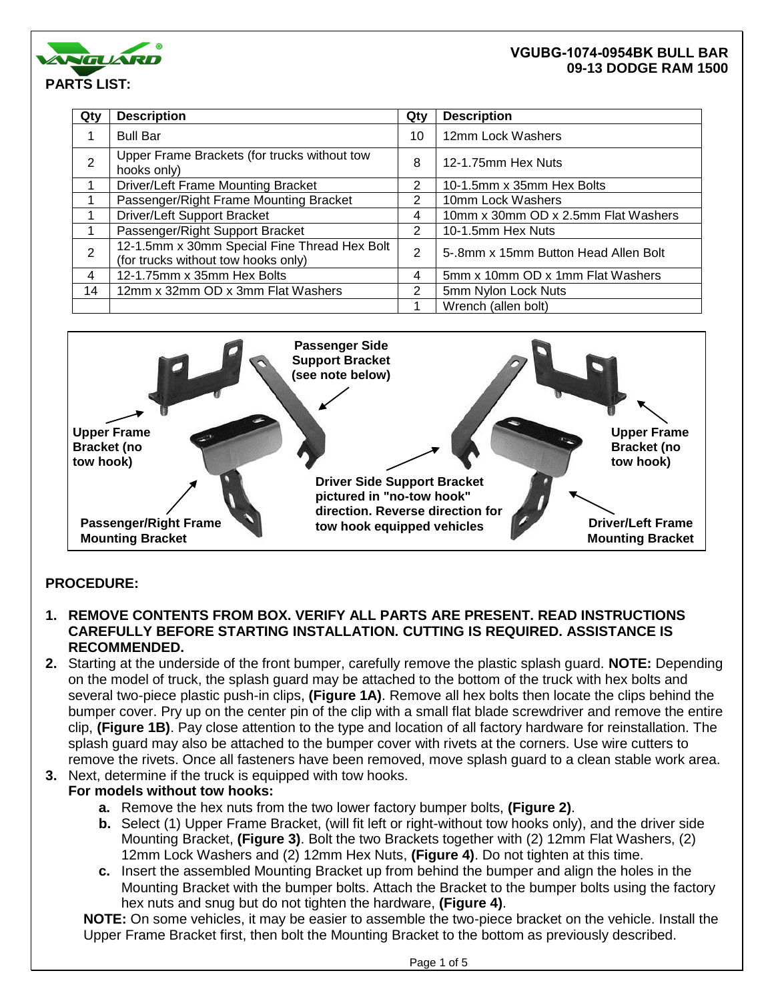

| Qty            | <b>Description</b>                                                                  | Qty | <b>Description</b>                   |
|----------------|-------------------------------------------------------------------------------------|-----|--------------------------------------|
|                | <b>Bull Bar</b>                                                                     | 10  | 12mm Lock Washers                    |
| $\overline{2}$ | Upper Frame Brackets (for trucks without tow<br>hooks only)                         | 8   | 12-1.75mm Hex Nuts                   |
|                | Driver/Left Frame Mounting Bracket                                                  | 2   | 10-1.5mm x 35mm Hex Bolts            |
|                | Passenger/Right Frame Mounting Bracket                                              | 2   | 10mm Lock Washers                    |
|                | Driver/Left Support Bracket                                                         | 4   | 10mm x 30mm OD x 2.5mm Flat Washers  |
|                | Passenger/Right Support Bracket                                                     | 2   | 10-1.5mm Hex Nuts                    |
| $\overline{2}$ | 12-1.5mm x 30mm Special Fine Thread Hex Bolt<br>(for trucks without tow hooks only) | 2   | 5-.8mm x 15mm Button Head Allen Bolt |
| 4              | 12-1.75mm x 35mm Hex Bolts                                                          | 4   | 5mm x 10mm OD x 1mm Flat Washers     |
| 14             | 12mm x 32mm OD x 3mm Flat Washers                                                   | 2   | 5mm Nylon Lock Nuts                  |
|                |                                                                                     |     | Wrench (allen bolt)                  |



## **PROCEDURE:**

- **1. REMOVE CONTENTS FROM BOX. VERIFY ALL PARTS ARE PRESENT. READ INSTRUCTIONS CAREFULLY BEFORE STARTING INSTALLATION. CUTTING IS REQUIRED. ASSISTANCE IS RECOMMENDED.**
- **2.** Starting at the underside of the front bumper, carefully remove the plastic splash guard. **NOTE:** Depending on the model of truck, the splash guard may be attached to the bottom of the truck with hex bolts and several two-piece plastic push-in clips, **(Figure 1A)**. Remove all hex bolts then locate the clips behind the bumper cover. Pry up on the center pin of the clip with a small flat blade screwdriver and remove the entire clip, **(Figure 1B)**. Pay close attention to the type and location of all factory hardware for reinstallation. The splash guard may also be attached to the bumper cover with rivets at the corners. Use wire cutters to remove the rivets. Once all fasteners have been removed, move splash guard to a clean stable work area.
- **3.** Next, determine if the truck is equipped with tow hooks.

## **For models without tow hooks:**

- **a.** Remove the hex nuts from the two lower factory bumper bolts, **(Figure 2)**.
- **b.** Select (1) Upper Frame Bracket, (will fit left or right-without tow hooks only), and the driver side Mounting Bracket, **(Figure 3)**. Bolt the two Brackets together with (2) 12mm Flat Washers, (2) 12mm Lock Washers and (2) 12mm Hex Nuts, **(Figure 4)**. Do not tighten at this time.
- **c.** Insert the assembled Mounting Bracket up from behind the bumper and align the holes in the Mounting Bracket with the bumper bolts. Attach the Bracket to the bumper bolts using the factory hex nuts and snug but do not tighten the hardware, **(Figure 4)**.

**NOTE:** On some vehicles, it may be easier to assemble the two-piece bracket on the vehicle. Install the Upper Frame Bracket first, then bolt the Mounting Bracket to the bottom as previously described.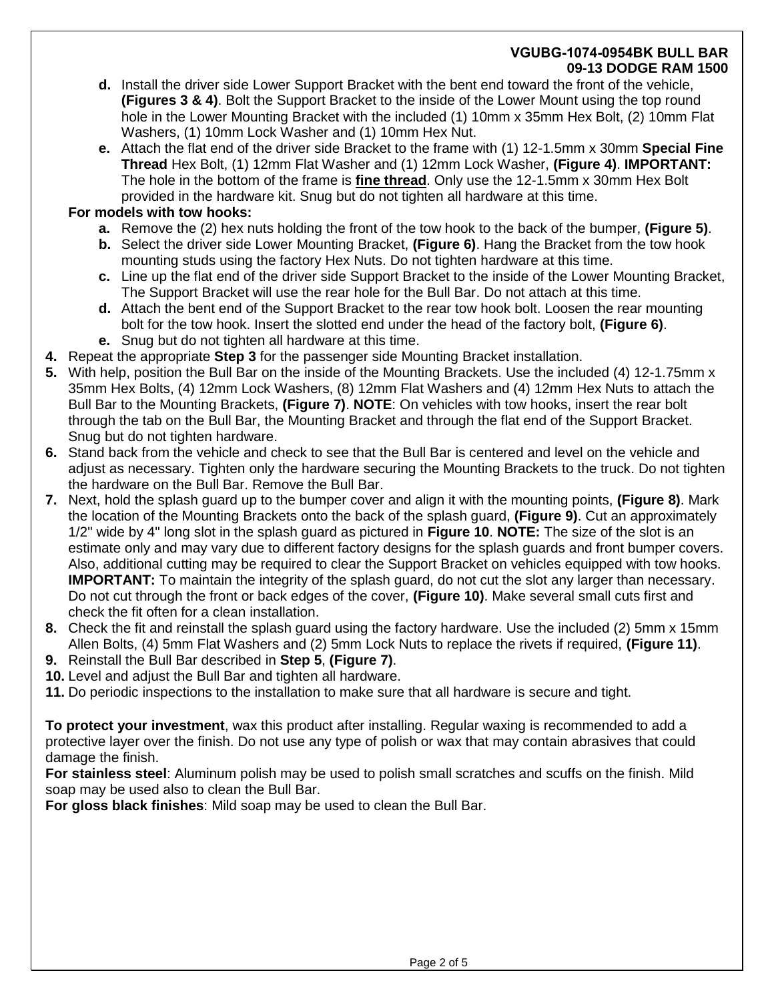- **d.** Install the driver side Lower Support Bracket with the bent end toward the front of the vehicle, **(Figures 3 & 4)**. Bolt the Support Bracket to the inside of the Lower Mount using the top round hole in the Lower Mounting Bracket with the included (1) 10mm x 35mm Hex Bolt, (2) 10mm Flat Washers, (1) 10mm Lock Washer and (1) 10mm Hex Nut.
- **e.** Attach the flat end of the driver side Bracket to the frame with (1) 12-1.5mm x 30mm **Special Fine Thread** Hex Bolt, (1) 12mm Flat Washer and (1) 12mm Lock Washer, **(Figure 4)**. **IMPORTANT:** The hole in the bottom of the frame is **fine thread**. Only use the 12-1.5mm x 30mm Hex Bolt provided in the hardware kit. Snug but do not tighten all hardware at this time.

## **For models with tow hooks:**

- **a.** Remove the (2) hex nuts holding the front of the tow hook to the back of the bumper, **(Figure 5)**.
- **b.** Select the driver side Lower Mounting Bracket, **(Figure 6)**. Hang the Bracket from the tow hook mounting studs using the factory Hex Nuts. Do not tighten hardware at this time.
- **c.** Line up the flat end of the driver side Support Bracket to the inside of the Lower Mounting Bracket, The Support Bracket will use the rear hole for the Bull Bar. Do not attach at this time.
- **d.** Attach the bent end of the Support Bracket to the rear tow hook bolt. Loosen the rear mounting bolt for the tow hook. Insert the slotted end under the head of the factory bolt, **(Figure 6)**. **e.** Snug but do not tighten all hardware at this time.
- **4.** Repeat the appropriate **Step 3** for the passenger side Mounting Bracket installation.
- **5.** With help, position the Bull Bar on the inside of the Mounting Brackets. Use the included (4) 12-1.75mm x 35mm Hex Bolts, (4) 12mm Lock Washers, (8) 12mm Flat Washers and (4) 12mm Hex Nuts to attach the Bull Bar to the Mounting Brackets, **(Figure 7)**. **NOTE**: On vehicles with tow hooks, insert the rear bolt through the tab on the Bull Bar, the Mounting Bracket and through the flat end of the Support Bracket. Snug but do not tighten hardware.
- **6.** Stand back from the vehicle and check to see that the Bull Bar is centered and level on the vehicle and adjust as necessary. Tighten only the hardware securing the Mounting Brackets to the truck. Do not tighten the hardware on the Bull Bar. Remove the Bull Bar.
- **7.** Next, hold the splash guard up to the bumper cover and align it with the mounting points, **(Figure 8)**. Mark the location of the Mounting Brackets onto the back of the splash guard, **(Figure 9)**. Cut an approximately 1/2" wide by 4" long slot in the splash guard as pictured in **Figure 10**. **NOTE:** The size of the slot is an estimate only and may vary due to different factory designs for the splash guards and front bumper covers. Also, additional cutting may be required to clear the Support Bracket on vehicles equipped with tow hooks. **IMPORTANT:** To maintain the integrity of the splash guard, do not cut the slot any larger than necessary. Do not cut through the front or back edges of the cover, **(Figure 10)**. Make several small cuts first and check the fit often for a clean installation.
- **8.** Check the fit and reinstall the splash guard using the factory hardware. Use the included (2) 5mm x 15mm Allen Bolts, (4) 5mm Flat Washers and (2) 5mm Lock Nuts to replace the rivets if required, **(Figure 11)**.
- **9.** Reinstall the Bull Bar described in **Step 5**, **(Figure 7)**.
- **10.** Level and adjust the Bull Bar and tighten all hardware.
- **11.** Do periodic inspections to the installation to make sure that all hardware is secure and tight.

**To protect your investment**, wax this product after installing. Regular waxing is recommended to add a protective layer over the finish. Do not use any type of polish or wax that may contain abrasives that could damage the finish.

**For stainless steel**: Aluminum polish may be used to polish small scratches and scuffs on the finish. Mild soap may be used also to clean the Bull Bar.

**For gloss black finishes**: Mild soap may be used to clean the Bull Bar.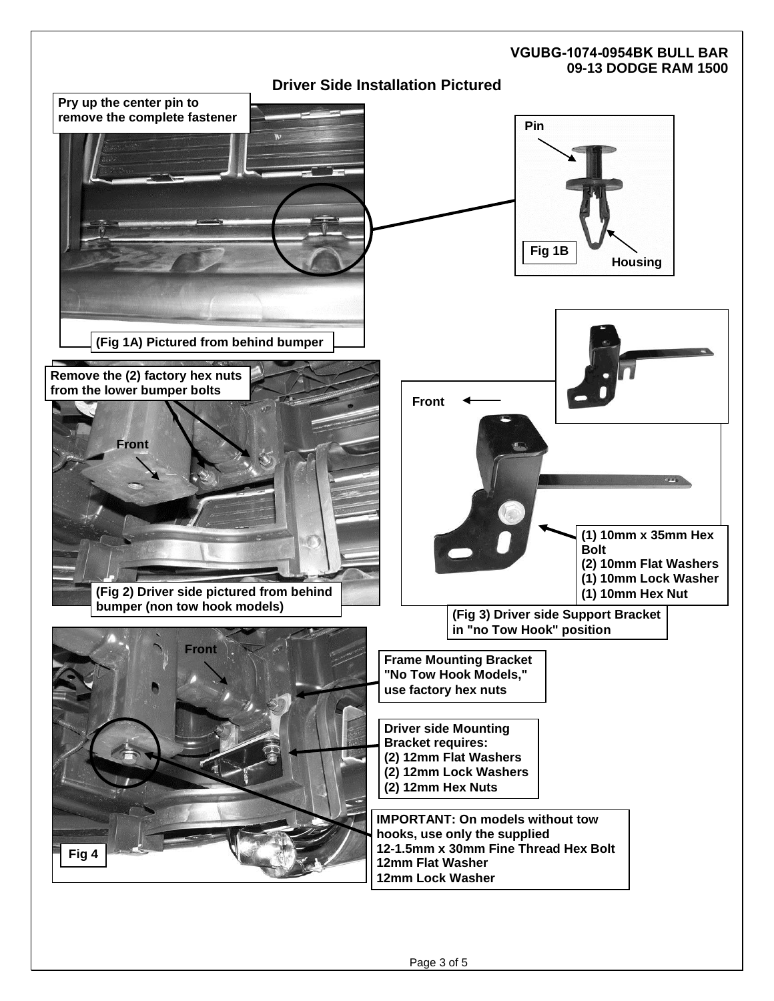# **VGUBG-1074-0954BK BULL BAR 09-13 DODGE RAM 1500 Driver Side Installation Pictured Fig 1B Pin Housing IMPORTANT: On models without tow hooks, use only the supplied 12-1.5mm x 30mm Fine Thread Hex Bolt 12mm Flat Washer 12mm Lock Washer Frame Mounting Bracket "No Tow Hook Models," use factory hex nuts Pry up the center pin to remove the complete fastener (Fig 1A) Pictured from behind bumper (Fig 2) Driver side pictured from behind bumper (non tow hook models) Front Remove the (2) factory hex nuts from the lower bumper bolts (Fig 3) Driver side Support Bracket in "no Tow Hook" position Front (1) 10mm x 35mm Hex Bolt (2) 10mm Flat Washers (1) 10mm Lock Washer (1) 10mm Hex Nut Driver side Mounting Bracket requires: (2) 12mm Flat Washers (2) 12mm Lock Washers (2) 12mm Hex Nuts Front Fig 4**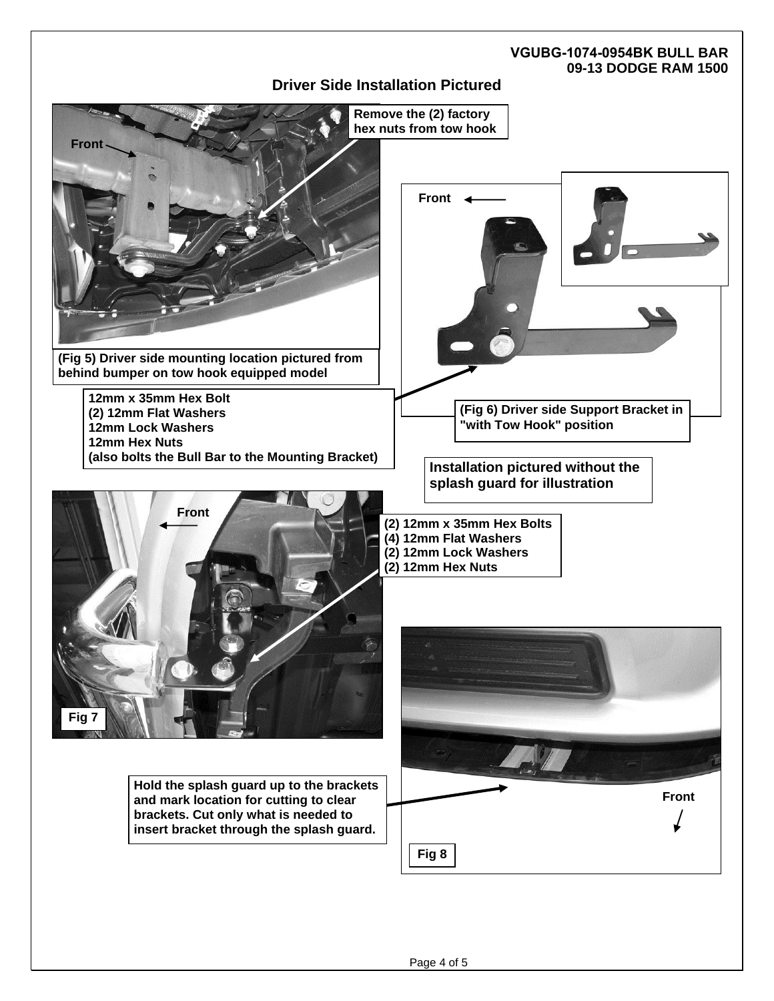## **Driver Side Installation Pictured**